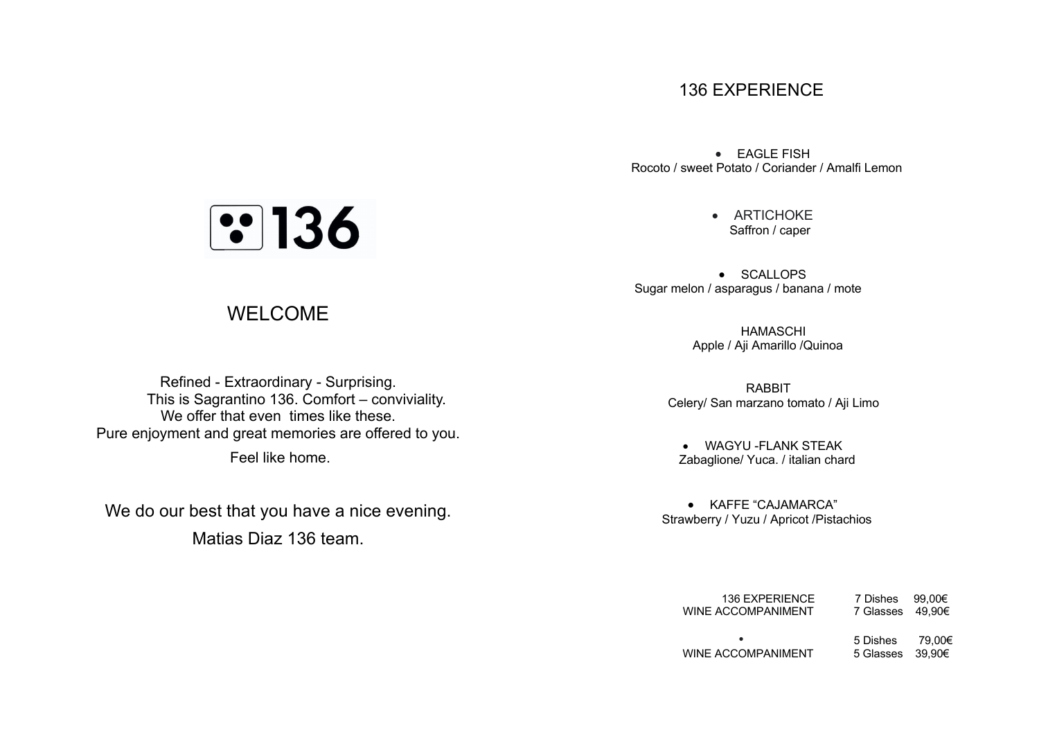## 136 EXPERIENCE

• EAGLE FISH Rocoto / sweet Potato / Coriander / Amalfi Lemon

> • ARTICHOKE Saffron / caper

• SCALLOPS Sugar melon / asparagus / banana / mote

> HAMASCHI Apple / Aji Amarillo /Quinoa

 RABBIT Celery/ San marzano tomato / Aji Limo

• WAGYU -FLANK STEAK Zabaglione/ Yuca. / italian chard

• KAFFE "CAJAMARCA" Strawberry / Yuzu / Apricot /Pistachios

| 136 EXPERIENCE<br>WINE ACCOMPANIMENT | 7 Dishes 99.00€<br>7 Glasses 49.90€ |        |
|--------------------------------------|-------------------------------------|--------|
| ٠<br>WINE ACCOMPANIMENT              | 5 Dishes<br>5 Glasses 39.90€        | 79.00€ |

## **3136**

## WELCOME

Refined - Extraordinary - Surprising. This is Sagrantino 136. Comfort – conviviality. We offer that even times like these. Pure enjoyment and great memories are offered to you. Feel like home.

We do our best that you have a nice evening. Matias Diaz 136 team.